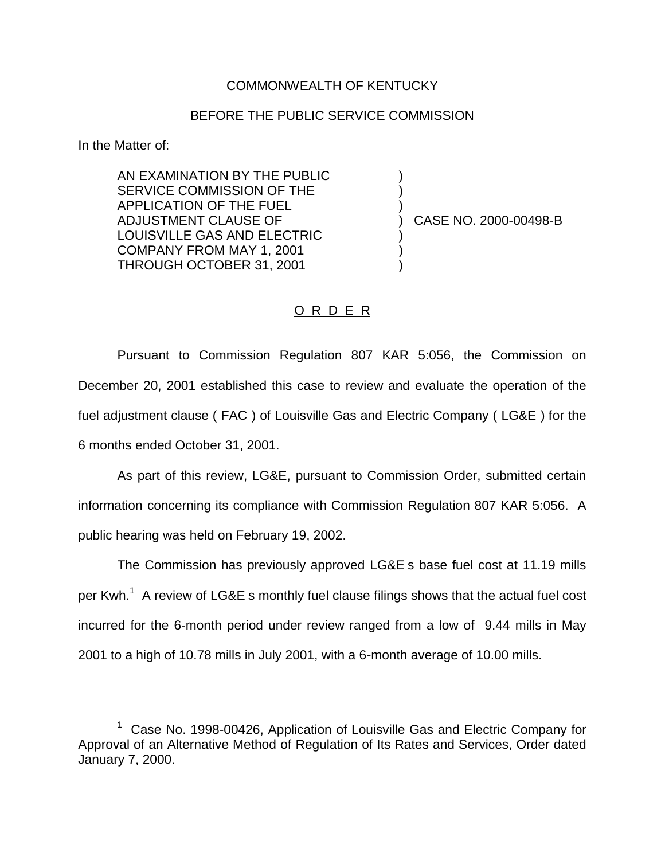## COMMONWEALTH OF KENTUCKY

## BEFORE THE PUBLIC SERVICE COMMISSION

) ) )

) ) )

In the Matter of:

AN EXAMINATION BY THE PUBLIC SERVICE COMMISSION OF THE APPLICATION OF THE FUEL ADJUSTMENT CLAUSE OF LOUISVILLE GAS AND ELECTRIC COMPANY FROM MAY 1, 2001 THROUGH OCTOBER 31, 2001

) CASE NO. 2000-00498-B

## O R D E R

Pursuant to Commission Regulation 807 KAR 5:056, the Commission on December 20, 2001 established this case to review and evaluate the operation of the fuel adjustment clause ( FAC ) of Louisville Gas and Electric Company ( LG&E ) for the 6 months ended October 31, 2001.

As part of this review, LG&E, pursuant to Commission Order, submitted certain information concerning its compliance with Commission Regulation 807 KAR 5:056. A public hearing was held on February 19, 2002.

The Commission has previously approved LG&E s base fuel cost at 11.19 mills per Kwh.<sup>1</sup> A review of LG&E s monthly fuel clause filings shows that the actual fuel cost incurred for the 6-month period under review ranged from a low of 9.44 mills in May 2001 to a high of 10.78 mills in July 2001, with a 6-month average of 10.00 mills.

<sup>&</sup>lt;sup>1</sup> Case No. 1998-00426, Application of Louisville Gas and Electric Company for Approval of an Alternative Method of Regulation of Its Rates and Services, Order dated January 7, 2000.